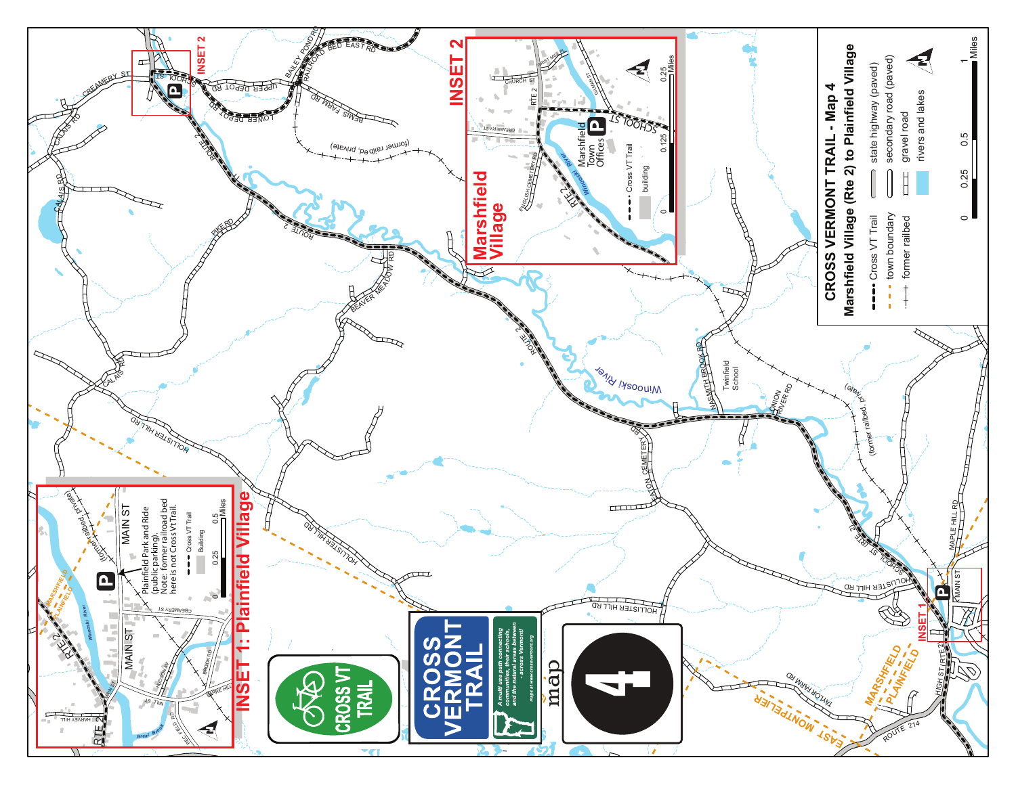